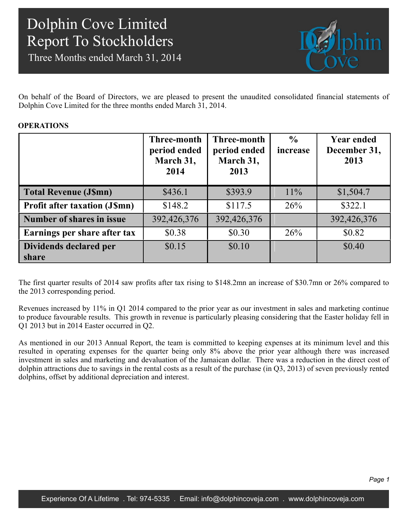Three Months ended March 31, 2014



On behalf of the Board of Directors, we are pleased to present the unaudited consolidated financial statements of Dolphin Cove Limited for the three months ended March 31, 2014.

### **OPERATIONS**

|                                      | Three-month<br>period ended<br>March 31,<br>2014 | Three-month<br>period ended<br>March 31,<br>2013 | $\frac{0}{0}$<br>increase | <b>Year ended</b><br>December 31,<br>2013 |
|--------------------------------------|--------------------------------------------------|--------------------------------------------------|---------------------------|-------------------------------------------|
| <b>Total Revenue (J\$mn)</b>         | \$436.1                                          | \$393.9                                          | $11\%$                    | \$1,504.7                                 |
| <b>Profit after taxation (J\$mn)</b> | \$148.2                                          | \$117.5                                          | 26%                       | \$322.1                                   |
| Number of shares in issue            | 392,426,376                                      | 392,426,376                                      |                           | 392,426,376                               |
| Earnings per share after tax         | \$0.38                                           | \$0.30                                           | 26%                       | \$0.82                                    |
| Dividends declared per<br>share      | \$0.15                                           | \$0.10                                           |                           | \$0.40                                    |

The first quarter results of 2014 saw profits after tax rising to \$148.2mn an increase of \$30.7mn or 26% compared to the 2013 corresponding period.

Revenues increased by 11% in Q1 2014 compared to the prior year as our investment in sales and marketing continue to produce favourable results. This growth in revenue is particularly pleasing considering that the Easter holiday fell in Q1 2013 but in 2014 Easter occurred in Q2.

As mentioned in our 2013 Annual Report, the team is committed to keeping expenses at its minimum level and this resulted in operating expenses for the quarter being only 8% above the prior year although there was increased investment in sales and marketing and devaluation of the Jamaican dollar. There was a reduction in the direct cost of dolphin attractions due to savings in the rental costs as a result of the purchase (in Q3, 2013) of seven previously rented dolphins, offset by additional depreciation and interest.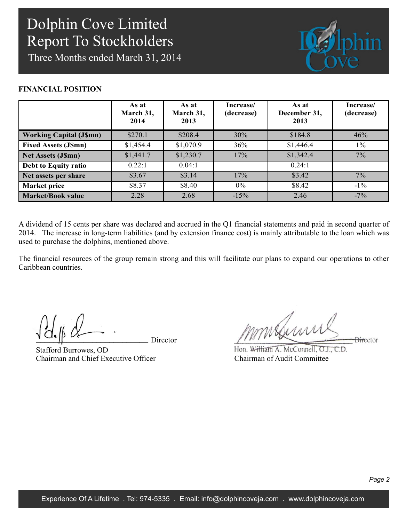Three Months ended March 31, 2014



### **FINANCIAL POSITION**

|                                | As at<br>March 31,<br>2014 | As at<br>March 31,<br>2013 | Increase/<br>(decrease) | As at<br>December 31,<br>2013 | Increase/<br>(decrease) |
|--------------------------------|----------------------------|----------------------------|-------------------------|-------------------------------|-------------------------|
| <b>Working Capital (J\$mn)</b> | \$270.1                    | \$208.4                    | 30%                     | \$184.8                       | 46%                     |
| <b>Fixed Assets (J\$mn)</b>    | \$1,454.4                  | \$1,070.9                  | 36%                     | \$1,446.4                     | $1\%$                   |
| <b>Net Assets (J\$mn)</b>      | \$1,441.7                  | \$1,230.7                  | 17%                     | \$1,342.4                     | $7\%$                   |
| Debt to Equity ratio           | 0.22:1                     | 0.04:1                     |                         | 0.24:1                        |                         |
| Net assets per share           | \$3.67                     | \$3.14                     | 17%                     | \$3.42                        | 7%                      |
| <b>Market price</b>            | \$8.37                     | \$8.40                     | $0\%$                   | \$8.42                        | $-1\%$                  |
| <b>Market/Book value</b>       | 2.28                       | 2.68                       | $-15%$                  | 2.46                          | $-7\%$                  |

A dividend of 15 cents per share was declared and accrued in the Q1 financial statements and paid in second quarter of 2014. The increase in long-term liabilities (and by extension finance cost) is mainly attributable to the loan which was used to purchase the dolphins, mentioned above.

The financial resources of the group remain strong and this will facilitate our plans to expand our operations to other Caribbean countries.

Director

Stafford Burrowes, OD Chairman and Chief Executive Officer

mmsdumi **Director** 

Hon. William A. McConnell, O.J., C.D. Chairman of Audit Committee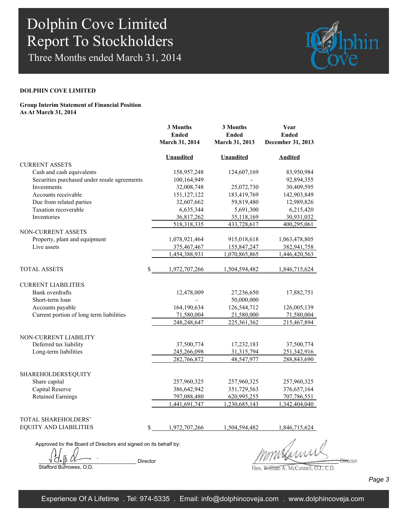Three Months ended March 31, 2014



### **DOLPHIN COVE LIMITED**

#### **Group Interim Statement of Financial Position As At March 31, 2014**

|                                              | 3 Months         | 3 Months         | Year              |  |
|----------------------------------------------|------------------|------------------|-------------------|--|
|                                              | <b>Ended</b>     | <b>Ended</b>     | <b>Ended</b>      |  |
|                                              | March 31, 2014   | March 31, 2013   | December 31, 2013 |  |
|                                              | <b>Unaudited</b> | <b>Unaudited</b> | <b>Audited</b>    |  |
| <b>CURRENT ASSETS</b>                        |                  |                  |                   |  |
| Cash and cash equivalents                    | 158,957,248      | 124,607,169      | 83,950,984        |  |
| Securities purchased under resale agreements | 100,164,949      |                  | 92,894,355        |  |
| Investments                                  | 32,008,748       | 25,072,730       | 30,409,595        |  |
| Accounts receivable                          | 151, 127, 122    | 183,419,769      | 142,903,849       |  |
| Due from related parties                     | 32,607,662       | 59,819,480       | 12,989,826        |  |
| Taxation recoverable                         | 6,635,344        | 5,691,300        | 6,215,420         |  |
| Inventories                                  | 36,817,262       | 35,118,169       | 30,931,032        |  |
|                                              | 518,318,335      | 433,728,617      | 400,295,061       |  |
| NON-CURRENT ASSETS                           |                  |                  |                   |  |
| Property, plant and equipment                | 1,078,921,464    | 915,018,618      | 1,063,478,805     |  |
| Live assets                                  | 375,467,467      | 155,847,247      | 382,941,758       |  |
|                                              | 1,454,388,931    | 1,070,865,865    | 1,446,420,563     |  |
| <b>TOTAL ASSETS</b><br>\$                    | 1,972,707,266    | 1,504,594,482    | 1,846,715,624     |  |
|                                              |                  |                  |                   |  |
| <b>CURRENT LIABILITIES</b>                   |                  |                  |                   |  |
| <b>Bank</b> overdrafts                       | 12,478,009       | 27,236,650       | 17,882,751        |  |
| Short-term loan                              |                  | 50,000,000       |                   |  |
| Accounts payable                             | 164,190,634      | 126,544,712      | 126,005,139       |  |
| Current portion of long term liabilities     | 71,580,004       | 21,580,000       | 71,580,004        |  |
|                                              | 248,248,647      | 225,361,362      | 215,467,894       |  |
| NON-CURRENT LIABILITY                        |                  |                  |                   |  |
| Deferred tax liability                       | 37,500,774       | 17,232,183       | 37,500,774        |  |
| Long-term liabilities                        | 245,266,098      | 31,315,794       | 251,342,916       |  |
|                                              | 282,766,872      | 48,547,977       | 288,843,690       |  |
|                                              |                  |                  |                   |  |
| <b>SHAREHOLDERS EQUITY</b>                   |                  |                  |                   |  |
| Share capital                                | 257,960,325      | 257,960,325      | 257,960,325       |  |
| Capital Reserve                              | 386,642,942      | 351,729,563      | 376,657,164       |  |
| <b>Retained Earnings</b>                     | 797,088,480      | 620,995,255      | 707,786,551       |  |
|                                              | 1,441,691,747    | 1,230,685,143    | 1,342,404,040     |  |
| TOTAL SHAREHOLDERS'                          |                  |                  |                   |  |
| <b>EQUITY AND LIABILITIES</b><br>\$          | 1,972,707,266    | 1,504,594,482    | 1,846,715,624     |  |
|                                              |                  |                  |                   |  |

Approved by the Board of Directors and signed on its behalf by:

Director Stafford Burrowes, O.D.

 $\frac{1}{2}$ 

Hon. William A. McConnell, O.J., C.D.

*Page 3*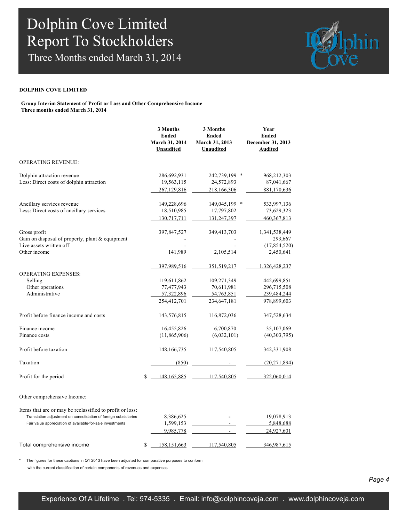Three Months ended March 31, 2014



#### **DOLPHIN COVE LIMITED**

**Group Interim Statement of Profit or Loss and Other Comprehensive Income Three months ended March 31, 2014**

|                                                 | 3 Months<br><b>Ended</b><br>March 31, 2014<br><b>Unaudited</b> | 3 Months<br><b>Ended</b><br>March 31, 2013<br>Unaudited | Year<br><b>Ended</b><br>December 31, 2013<br><b>Audited</b> |
|-------------------------------------------------|----------------------------------------------------------------|---------------------------------------------------------|-------------------------------------------------------------|
| <b>OPERATING REVENUE:</b>                       |                                                                |                                                         |                                                             |
| Dolphin attraction revenue                      | 286,692,931                                                    | 242,739,199 *                                           | 968,212,303                                                 |
| Less: Direct costs of dolphin attraction        | 19,563,115<br>267,129,816                                      | 24,572,893<br>218,166,306                               | 87,041,667<br>881,170,636                                   |
| Ancillary services revenue                      | 149,228,696                                                    | 149,045,199 *                                           | 533,997,136                                                 |
| Less: Direct costs of ancillary services        | 18,510,985                                                     | 17,797,802                                              | 73,629,323                                                  |
|                                                 | 130,717,711                                                    | 131,247,397                                             | 460, 367, 813                                               |
| Gross profit                                    | 397,847,527                                                    | 349,413,703                                             | 1,341,538,449                                               |
| Gain on disposal of property, plant & equipment |                                                                |                                                         | 293,667                                                     |
| Live assets written off                         |                                                                |                                                         | (17, 854, 520)                                              |
| Other income                                    | 141,989                                                        | 2,105,514                                               | 2,450,641                                                   |
|                                                 | 397,989,516                                                    | 351,519,217                                             | 1,326,428,237                                               |
| <b>OPERATING EXPENSES:</b>                      |                                                                |                                                         |                                                             |
| Selling                                         | 119,611,862                                                    | 109,271,349                                             | 442,699,851                                                 |
| Other operations<br>Administrative              | 77,477,943                                                     | 70,611,981                                              | 296,715,508                                                 |
|                                                 | 57,322,896<br>254,412,701                                      | 54,763,851<br>234,647,181                               | 239,484,244<br>978,899,603                                  |
| Profit before finance income and costs          | 143,576,815                                                    | 116,872,036                                             | 347,528,634                                                 |
| Finance income                                  | 16,455,826                                                     | 6,700,870                                               | 35,107,069                                                  |
| Finance costs                                   | (11,865,906)                                                   | (6,032,101)                                             | (40, 303, 795)                                              |
| Profit before taxation                          | 148, 166, 735                                                  | 117,540,805                                             | 342,331,908                                                 |
| Taxation                                        | (850)                                                          |                                                         | (20, 271, 894)                                              |
| Profit for the period                           | \$<br>148.165.885                                              | 117.540.805                                             | 322.060.014                                                 |
|                                                 |                                                                |                                                         |                                                             |

Other comprehensive Income:

| Items that are or may be reclassified to profit or loss:        |               |             |             |
|-----------------------------------------------------------------|---------------|-------------|-------------|
| Translation adjustment on consolidation of foreign subsidiaries | 8,386,625     | -           | 19.078.913  |
| Fair value appreciation of available-for-sale investments       | 599.153       | -           | 5,848,688   |
|                                                                 | 9.985.778     |             | 24,927,601  |
| Total comprehensive income                                      | 158, 151, 663 | 117,540,805 | 346,987,615 |

The figures for these captions in Q1 2013 have been adjusted for comparative purposes to conform

with the current classification of certain components of revenues and expenses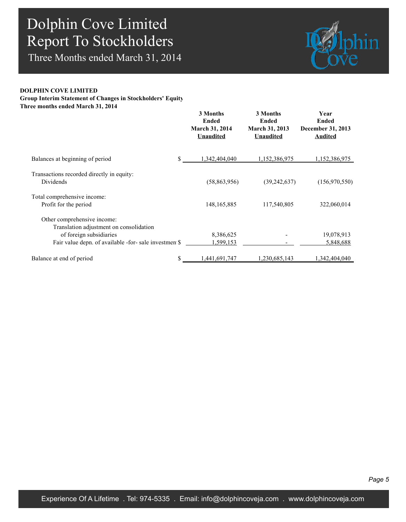Three Months ended March 31, 2014



### **DOLPHIN COVE LIMITED**

**Group Interim Statement of Changes in Stockholders' Equity Three months ended March 31, 2014**

|                                                                                                                                                            | 3 Months<br>Ended<br><b>March 31, 2014</b><br><b>Unaudited</b> | 3 Months<br>Ended<br>March 31, 2013<br><b>Unaudited</b> | Year<br><b>Ended</b><br>December 31, 2013<br><b>Audited</b> |
|------------------------------------------------------------------------------------------------------------------------------------------------------------|----------------------------------------------------------------|---------------------------------------------------------|-------------------------------------------------------------|
| Balances at beginning of period<br>S                                                                                                                       | 1,342,404,040                                                  | 1,152,386,975                                           | 1,152,386,975                                               |
| Transactions recorded directly in equity:<br>Dividends                                                                                                     | (58, 863, 956)                                                 | (39, 242, 637)                                          | (156,970,550)                                               |
| Total comprehensive income:<br>Profit for the period                                                                                                       | 148, 165, 885                                                  | 117,540,805                                             | 322,060,014                                                 |
| Other comprehensive income:<br>Translation adjustment on consolidation<br>of foreign subsidiaries<br>Fair value depn. of available -for- sale investmen \$ | 8,386,625<br>1,599,153                                         |                                                         | 19,078,913<br>5,848,688                                     |
| Balance at end of period<br>S                                                                                                                              | 1,441,691,747                                                  | 1,230,685,143                                           | 1,342,404,040                                               |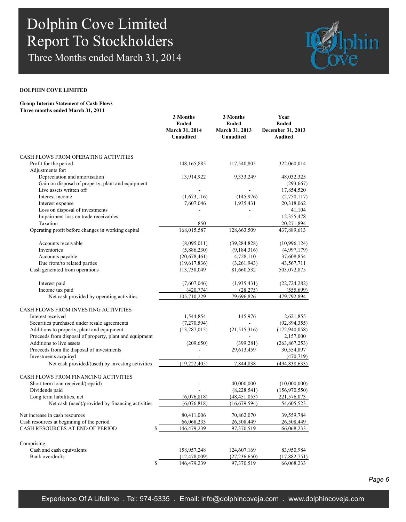Three Months ended March 31, 2014



#### **DOLPHIN COVE LIMITED**

#### **Group Interim Statement of Cash Flows Three months ended March 31, 2014**

|                                                                           | 3 Months<br><b>Ended</b><br>March 31, 2014<br><b>Unaudited</b> | 3 Months<br><b>Ended</b><br>March 31, 2013<br>Unaudited | Year<br><b>Ended</b><br>December 31, 2013<br><b>Audited</b> |
|---------------------------------------------------------------------------|----------------------------------------------------------------|---------------------------------------------------------|-------------------------------------------------------------|
| CASH FLOWS FROM OPERATING ACTIVITIES                                      |                                                                |                                                         |                                                             |
| Profit for the period<br>Adjustments for:                                 | 148, 165, 885                                                  | 117,540,805                                             | 322,060,014                                                 |
| Depreciation and amortisation                                             | 13,914,922                                                     | 9,333,249                                               | 48,032,325                                                  |
| Gain on disposal of property, plant and equipment                         |                                                                |                                                         | (293, 667)                                                  |
| Live assets written off                                                   |                                                                |                                                         | 17,854,520                                                  |
| Interest income                                                           | (1,673,116)                                                    | (145, 976)                                              | (2,750,117)                                                 |
| Interest expense                                                          | 7,607,046                                                      | 1,935,431                                               | 20,318,062                                                  |
| Loss on disposal of investments                                           |                                                                |                                                         | 41,104                                                      |
| Impairment loss on trade receivables                                      |                                                                |                                                         | 12,355,478                                                  |
| Taxation                                                                  | 850                                                            |                                                         | 20,271,894                                                  |
| Operating profit before changes in working capital                        | 168,015,587                                                    | 128,663,509                                             | 437,889,613                                                 |
| Accounts receivable                                                       | (8,095,011)                                                    | (39, 284, 828)                                          | (10,996,124)                                                |
| Inventories                                                               | (5,886,230)                                                    | (9,184,316)                                             | (4,997,179)                                                 |
| Accounts payable                                                          | (20, 678, 461)                                                 | 4,728,110                                               | 37,608,854                                                  |
| Due from/to related parties                                               | (19,617,836)                                                   | (3,261,943)                                             | 43,567,711                                                  |
| Cash generated from operations                                            | 113,738,049                                                    | 81,660,532                                              | 503,072,875                                                 |
| Interest paid                                                             | (7,607,046)                                                    | (1,935,431)                                             | (22, 724, 282)                                              |
| Income tax paid                                                           | (420, 774)                                                     | (28, 275)                                               | (555,699)                                                   |
| Net cash provided by operating activities                                 | 105,710,229                                                    | 79,696,826                                              | 479,792,894                                                 |
| CASH FLOWS FROM INVESTING ACTIVITIES                                      |                                                                |                                                         |                                                             |
| Interest received                                                         | 1,544,854                                                      | 145,976                                                 | 2,621,855                                                   |
| Securities purchased under resale agreements                              | (7,270,594)                                                    |                                                         | (92, 894, 355)                                              |
| Additions to property, plant and equipment                                | (13, 287, 015)                                                 | (21,515,316)                                            | (172, 940, 058)                                             |
| Proceeds from disposal of property, plant and equipment                   |                                                                |                                                         | 2,157,000                                                   |
| Additions to live assets                                                  | (209,650)                                                      | (399, 281)                                              | (263, 867, 253)                                             |
| Proceeds from the disposal of investments<br>Investments acquired         |                                                                | 29,613,459                                              | 30,554,897<br>(470, 719)                                    |
| Net cash provided/(used) by investing activities                          | (19, 222, 405)                                                 | 7,844,838                                               | (494, 838, 633)                                             |
|                                                                           |                                                                |                                                         |                                                             |
| CASH FLOWS FROM FINANCING ACTIVITIES<br>Short term loan received/(repaid) |                                                                | 40,000,000                                              | (10,000,000)                                                |
| Dividends paid                                                            |                                                                | (8,228,541)                                             | (156, 970, 550)                                             |
| Long term liabilities, net                                                | (6,076,818)                                                    | (48, 451, 053)                                          | 221,576,073                                                 |
| Net cash (used)/provided by financing activities                          | (6.076.818)                                                    | (16679594)                                              | 54 605 523                                                  |
| Net increase in cash resources                                            | 80,411,006                                                     | 70,862,070                                              | 39,559,784                                                  |
| Cash resources at beginning of the period                                 | 66,068,233                                                     | 26,508,449                                              | 26,508,449                                                  |
| CASH RESOURCES AT END OF PERIOD<br>\$                                     | 146,479,239                                                    | 97,370,519                                              | 66,068,233                                                  |
| Comprising:                                                               |                                                                |                                                         |                                                             |
| Cash and cash equivalents                                                 | 158,957,248                                                    | 124,607,169                                             | 83,950,984                                                  |
| <b>Bank</b> overdrafts                                                    | (12, 478, 009)                                                 | (27, 236, 650)                                          | (17,882,751)                                                |
| \$                                                                        | 146,479,239                                                    | 97.370.519                                              | 66,068,233                                                  |
|                                                                           |                                                                |                                                         |                                                             |

*Page 6*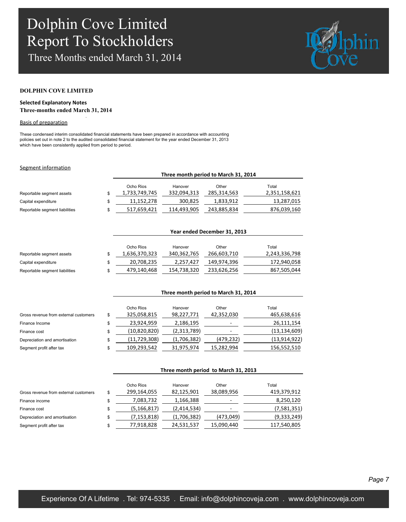Three Months ended March 31, 2014



#### **DOLPHIN COVE LIMITED**

#### **Selected Explanatory Notes Three-months ended March 31, 2014**

.

#### Basis of preparation

These condensed interim consolidated financial statements have been prepared in accordance with accounting policies set out in note 2 to the audited consolidated financial statement for the year ended December 31, 2013 which have been consistently applied from period to period.

#### Segment information

|                                | Three month period to March 31, 2014 |                        |                      |                        |  |
|--------------------------------|--------------------------------------|------------------------|----------------------|------------------------|--|
| Reportable segment assets      | Ocho Rios<br>1,733,749,745           | Hanover<br>332,094,313 | Other<br>285,314,563 | Total<br>2,351,158,621 |  |
| Capital expenditure            | 11.152.278                           | 300.825                | 1,833,912            | 13,287,015             |  |
| Reportable segment liabilities | 517,659,421                          | 114,493,905            | 243,885,834          | 876,039,160            |  |

#### **Year ended December 31, 2013**

|                                | Ocho Rios     | Hanover     | Other       | Total         |
|--------------------------------|---------------|-------------|-------------|---------------|
| Reportable segment assets      | 1,636,370,323 | 340,362,765 | 266,603,710 | 2,243,336,798 |
| Capital expenditure            | 20,708,235    | 2.257.427   | 149.974.396 | 172,940,058   |
| Reportable segment liabilities | 479,140,468   | 154,738,320 | 233,626,256 | 867,505,044   |

|                                       | Three month period to March 31, 2014 |             |            |                |  |
|---------------------------------------|--------------------------------------|-------------|------------|----------------|--|
|                                       | Ocho Rios                            | Hanover     | Other      | Total          |  |
| Gross revenue from external customers | \$<br>325,058,815                    | 98,227,771  | 42,352,030 | 465,638,616    |  |
| Finance Income                        | 23,924,959                           | 2,186,195   | -          | 26,111,154     |  |
| Finance cost                          | (10,820,820)                         | (2,313,789) |            | (13, 134, 609) |  |
| Depreciation and amortisation         | (11,729,308)                         | (1,706,382) | (479, 232) | (13,914,922)   |  |
| Segment profit after tax              | 109,293,542                          | 31,975,974  | 15,282,994 | 156,552,510    |  |

| Three month period to March 31, 2013 |  |
|--------------------------------------|--|
|--------------------------------------|--|

|                                       | Ocho Rios     | Hanover     | Other      | Total       |
|---------------------------------------|---------------|-------------|------------|-------------|
| Gross revenue from external customers | 299,164,055   | 82,125,901  | 38,089,956 | 419,379,912 |
| Finance income                        | 7,083,732     | 1,166,388   | ۰          | 8,250,120   |
| Finance cost                          | (5, 166, 817) | (2,414,534) | ۰          | (7,581,351) |
| Depreciation and amortisation         | (7, 153, 818) | (1,706,382) | (473, 049) | (9,333,249) |
| Segment profit after tax              | 77,918,828    | 24,531,537  | 15,090,440 | 117,540,805 |

*Page 7*